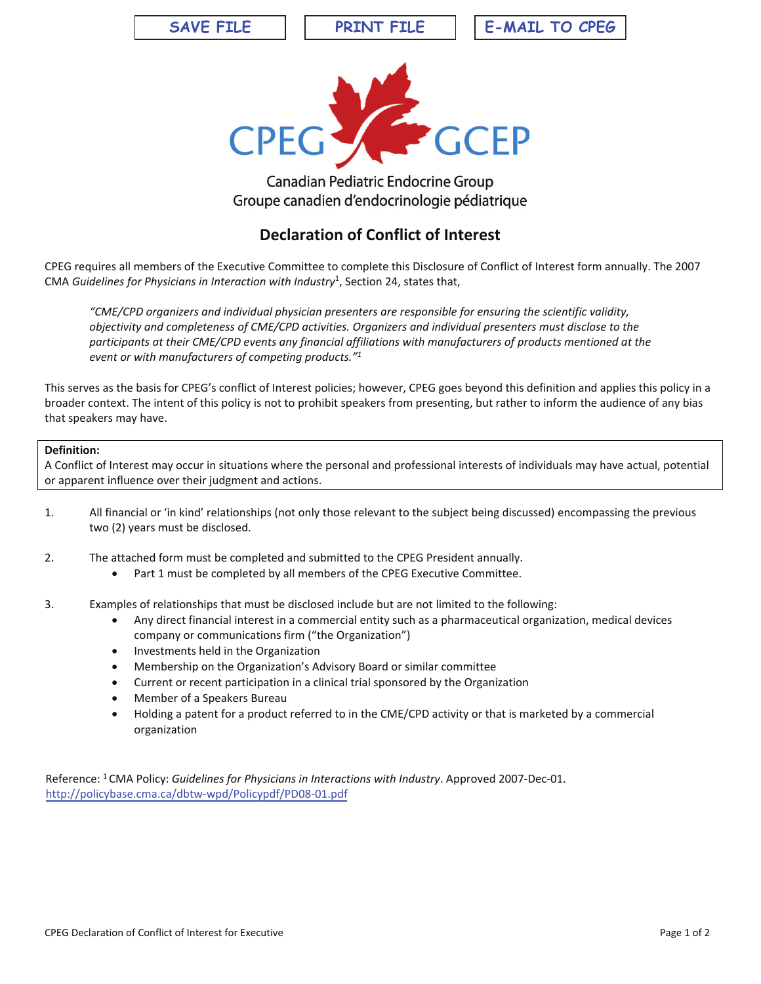**SAVE FILE** 

**PRINT FILE** 

**E-MAIL TO CPEG** 



## Canadian Pediatric Endocrine Group Groupe canadien d'endocrinologie pédiatrique

## **Declaration of Conflict of Interest**

CPEG requires all members of the Executive Committee to complete this Disclosure of Conflict of Interest form annually. The 2007 CMA Guidelines for Physicians in Interaction with Industry<sup>1</sup>, Section 24, states that,

"CME/CPD organizers and individual physician presenters are responsible for ensuring the scientific validity, objectivity and completeness of CME/CPD activities. Organizers and individual presenters must disclose to the participants at their CME/CPD events any financial affiliations with manufacturers of products mentioned at the event or with manufacturers of competing products."<sup>1</sup>

This serves as the basis for CPEG's conflict of Interest policies; however, CPEG goes beyond this definition and applies this policy in a broader context. The intent of this policy is not to prohibit speakers from presenting, but rather to inform the audience of any bias that speakers may have.

## Definition:

A Conflict of Interest may occur in situations where the personal and professional interests of individuals may have actual, potential or apparent influence over their judgment and actions.

- $\mathbf{1}$ . All financial or 'in kind' relationships (not only those relevant to the subject being discussed) encompassing the previous two (2) years must be disclosed.
- $2.$ The attached form must be completed and submitted to the CPEG President annually.
	- Part 1 must be completed by all members of the CPEG Executive Committee.
- $\overline{3}$ . Examples of relationships that must be disclosed include but are not limited to the following:
	- Any direct financial interest in a commercial entity such as a pharmaceutical organization, medical devices  $\bullet$ company or communications firm ("the Organization")
	- Investments held in the Organization  $\bullet$
	- Membership on the Organization's Advisory Board or similar committee  $\bullet$
	- Current or recent participation in a clinical trial sponsored by the Organization  $\bullet$
	- Member of a Speakers Bureau
	- Holding a patent for a product referred to in the CME/CPD activity or that is marketed by a commercial  $\bullet$ organization

Reference: <sup>1</sup> CMA Policy: Guidelines for Physicians in Interactions with Industry. Approved 2007-Dec-01. http://policybase.cma.ca/dbtw-wpd/Policypdf/PD08-01.pdf